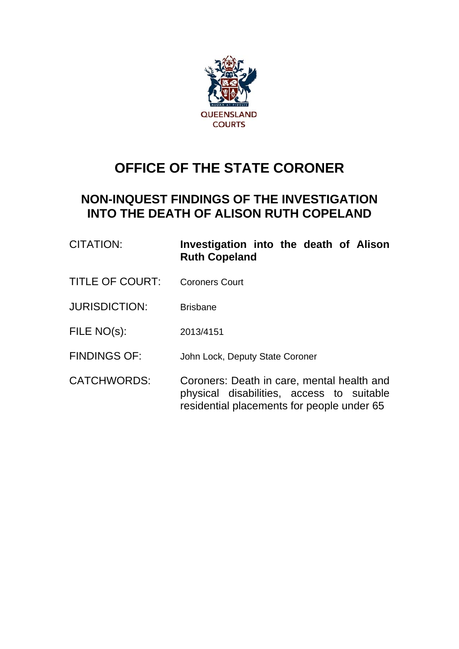

# **OFFICE OF THE STATE CORONER**

# **NON-INQUEST FINDINGS OF THE INVESTIGATION INTO THE DEATH OF ALISON RUTH COPELAND**

| CITATION:              | Investigation into the death of Alison<br><b>Ruth Copeland</b>                          |
|------------------------|-----------------------------------------------------------------------------------------|
| <b>TITLE OF COURT:</b> | <b>Coroners Court</b>                                                                   |
| <b>JURISDICTION:</b>   | <b>Brisbane</b>                                                                         |
| FILE NO(s):            | 2013/4151                                                                               |
| <b>FINDINGS OF:</b>    | John Lock, Deputy State Coroner                                                         |
| <b>CATCHWORDS:</b>     | Coroners: Death in care, mental health and<br>physical disabilities, access to suitable |

residential placements for people under 65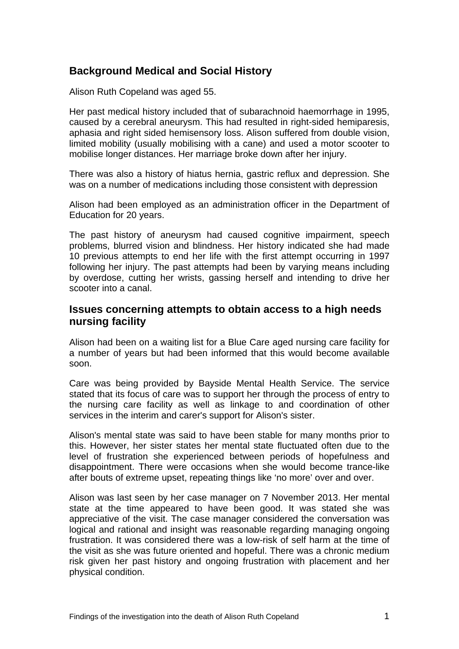# **Background Medical and Social History**

Alison Ruth Copeland was aged 55.

Her past medical history included that of subarachnoid haemorrhage in 1995, caused by a cerebral aneurysm. This had resulted in right-sided hemiparesis, aphasia and right sided hemisensory loss. Alison suffered from double vision, limited mobility (usually mobilising with a cane) and used a motor scooter to mobilise longer distances. Her marriage broke down after her injury.

There was also a history of hiatus hernia, gastric reflux and depression. She was on a number of medications including those consistent with depression

Alison had been employed as an administration officer in the Department of Education for 20 years.

The past history of aneurysm had caused cognitive impairment, speech problems, blurred vision and blindness. Her history indicated she had made 10 previous attempts to end her life with the first attempt occurring in 1997 following her injury. The past attempts had been by varying means including by overdose, cutting her wrists, gassing herself and intending to drive her scooter into a canal.

#### **Issues concerning attempts to obtain access to a high needs nursing facility**

Alison had been on a waiting list for a Blue Care aged nursing care facility for a number of years but had been informed that this would become available soon.

Care was being provided by Bayside Mental Health Service. The service stated that its focus of care was to support her through the process of entry to the nursing care facility as well as linkage to and coordination of other services in the interim and carer's support for Alison's sister.

Alison's mental state was said to have been stable for many months prior to this. However, her sister states her mental state fluctuated often due to the level of frustration she experienced between periods of hopefulness and disappointment. There were occasions when she would become trance-like after bouts of extreme upset, repeating things like 'no more' over and over.

Alison was last seen by her case manager on 7 November 2013. Her mental state at the time appeared to have been good. It was stated she was appreciative of the visit. The case manager considered the conversation was logical and rational and insight was reasonable regarding managing ongoing frustration. It was considered there was a low-risk of self harm at the time of the visit as she was future oriented and hopeful. There was a chronic medium risk given her past history and ongoing frustration with placement and her physical condition.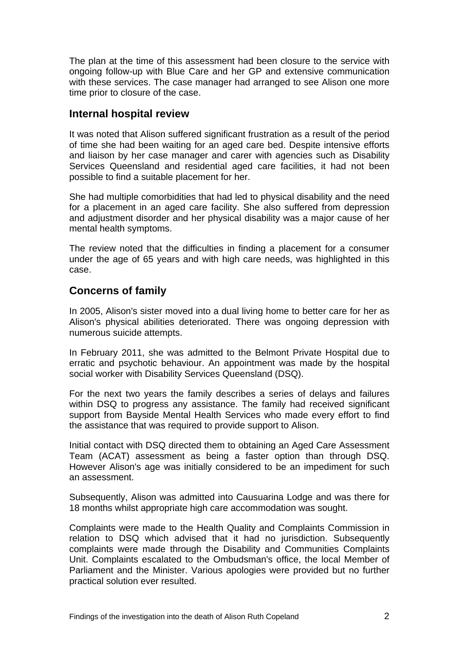The plan at the time of this assessment had been closure to the service with ongoing follow-up with Blue Care and her GP and extensive communication with these services. The case manager had arranged to see Alison one more time prior to closure of the case.

#### **Internal hospital review**

It was noted that Alison suffered significant frustration as a result of the period of time she had been waiting for an aged care bed. Despite intensive efforts and liaison by her case manager and carer with agencies such as Disability Services Queensland and residential aged care facilities, it had not been possible to find a suitable placement for her.

She had multiple comorbidities that had led to physical disability and the need for a placement in an aged care facility. She also suffered from depression and adjustment disorder and her physical disability was a major cause of her mental health symptoms.

The review noted that the difficulties in finding a placement for a consumer under the age of 65 years and with high care needs, was highlighted in this case.

#### **Concerns of family**

In 2005, Alison's sister moved into a dual living home to better care for her as Alison's physical abilities deteriorated. There was ongoing depression with numerous suicide attempts.

In February 2011, she was admitted to the Belmont Private Hospital due to erratic and psychotic behaviour. An appointment was made by the hospital social worker with Disability Services Queensland (DSQ).

For the next two years the family describes a series of delays and failures within DSQ to progress any assistance. The family had received significant support from Bayside Mental Health Services who made every effort to find the assistance that was required to provide support to Alison.

Initial contact with DSQ directed them to obtaining an Aged Care Assessment Team (ACAT) assessment as being a faster option than through DSQ. However Alison's age was initially considered to be an impediment for such an assessment.

Subsequently, Alison was admitted into Causuarina Lodge and was there for 18 months whilst appropriate high care accommodation was sought.

Complaints were made to the Health Quality and Complaints Commission in relation to DSQ which advised that it had no jurisdiction. Subsequently complaints were made through the Disability and Communities Complaints Unit. Complaints escalated to the Ombudsman's office, the local Member of Parliament and the Minister. Various apologies were provided but no further practical solution ever resulted.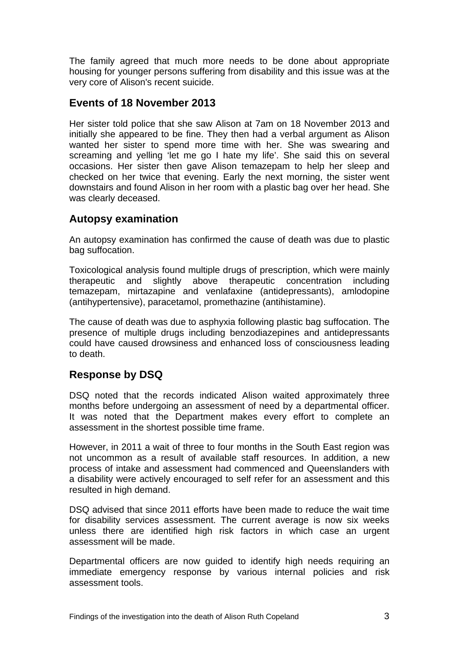The family agreed that much more needs to be done about appropriate housing for younger persons suffering from disability and this issue was at the very core of Alison's recent suicide.

#### **Events of 18 November 2013**

Her sister told police that she saw Alison at 7am on 18 November 2013 and initially she appeared to be fine. They then had a verbal argument as Alison wanted her sister to spend more time with her. She was swearing and screaming and yelling 'let me go I hate my life'. She said this on several occasions. Her sister then gave Alison temazepam to help her sleep and checked on her twice that evening. Early the next morning, the sister went downstairs and found Alison in her room with a plastic bag over her head. She was clearly deceased.

### **Autopsy examination**

An autopsy examination has confirmed the cause of death was due to plastic bag suffocation.

Toxicological analysis found multiple drugs of prescription, which were mainly therapeutic and slightly above therapeutic concentration including temazepam, mirtazapine and venlafaxine (antidepressants), amlodopine (antihypertensive), paracetamol, promethazine (antihistamine).

The cause of death was due to asphyxia following plastic bag suffocation. The presence of multiple drugs including benzodiazepines and antidepressants could have caused drowsiness and enhanced loss of consciousness leading to death.

# **Response by DSQ**

DSQ noted that the records indicated Alison waited approximately three months before undergoing an assessment of need by a departmental officer. It was noted that the Department makes every effort to complete an assessment in the shortest possible time frame.

However, in 2011 a wait of three to four months in the South East region was not uncommon as a result of available staff resources. In addition, a new process of intake and assessment had commenced and Queenslanders with a disability were actively encouraged to self refer for an assessment and this resulted in high demand.

DSQ advised that since 2011 efforts have been made to reduce the wait time for disability services assessment. The current average is now six weeks unless there are identified high risk factors in which case an urgent assessment will be made.

Departmental officers are now guided to identify high needs requiring an immediate emergency response by various internal policies and risk assessment tools.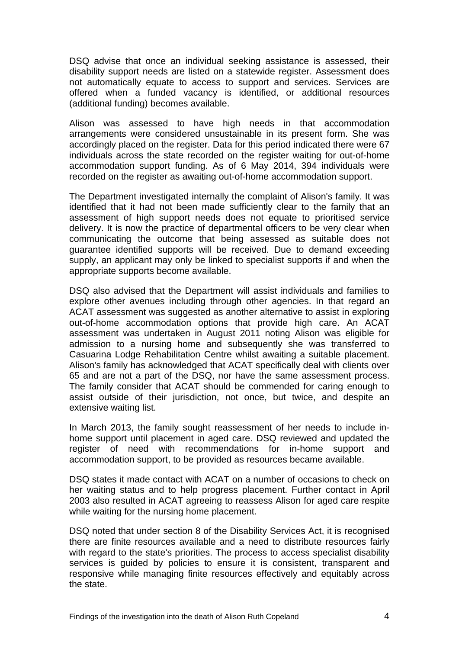DSQ advise that once an individual seeking assistance is assessed, their disability support needs are listed on a statewide register. Assessment does not automatically equate to access to support and services. Services are offered when a funded vacancy is identified, or additional resources (additional funding) becomes available.

Alison was assessed to have high needs in that accommodation arrangements were considered unsustainable in its present form. She was accordingly placed on the register. Data for this period indicated there were 67 individuals across the state recorded on the register waiting for out-of-home accommodation support funding. As of 6 May 2014, 394 individuals were recorded on the register as awaiting out-of-home accommodation support.

The Department investigated internally the complaint of Alison's family. It was identified that it had not been made sufficiently clear to the family that an assessment of high support needs does not equate to prioritised service delivery. It is now the practice of departmental officers to be very clear when communicating the outcome that being assessed as suitable does not guarantee identified supports will be received. Due to demand exceeding supply, an applicant may only be linked to specialist supports if and when the appropriate supports become available.

DSQ also advised that the Department will assist individuals and families to explore other avenues including through other agencies. In that regard an ACAT assessment was suggested as another alternative to assist in exploring out-of-home accommodation options that provide high care. An ACAT assessment was undertaken in August 2011 noting Alison was eligible for admission to a nursing home and subsequently she was transferred to Casuarina Lodge Rehabilitation Centre whilst awaiting a suitable placement. Alison's family has acknowledged that ACAT specifically deal with clients over 65 and are not a part of the DSQ, nor have the same assessment process. The family consider that ACAT should be commended for caring enough to assist outside of their jurisdiction, not once, but twice, and despite an extensive waiting list.

In March 2013, the family sought reassessment of her needs to include inhome support until placement in aged care. DSQ reviewed and updated the register of need with recommendations for in-home support and accommodation support, to be provided as resources became available.

DSQ states it made contact with ACAT on a number of occasions to check on her waiting status and to help progress placement. Further contact in April 2003 also resulted in ACAT agreeing to reassess Alison for aged care respite while waiting for the nursing home placement.

DSQ noted that under section 8 of the Disability Services Act, it is recognised there are finite resources available and a need to distribute resources fairly with regard to the state's priorities. The process to access specialist disability services is guided by policies to ensure it is consistent, transparent and responsive while managing finite resources effectively and equitably across the state.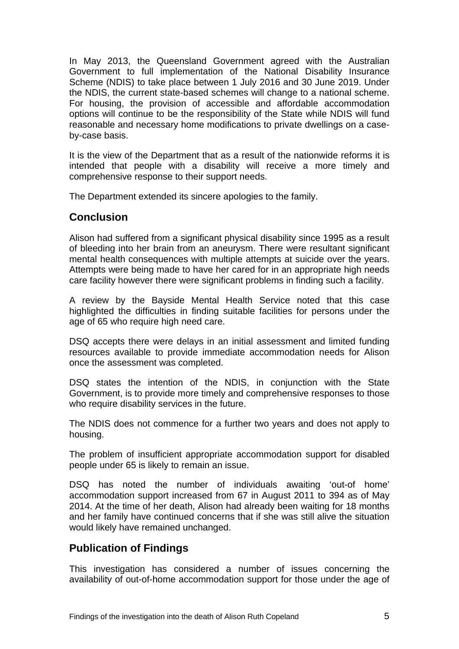In May 2013, the Queensland Government agreed with the Australian Government to full implementation of the National Disability Insurance Scheme (NDIS) to take place between 1 July 2016 and 30 June 2019. Under the NDIS, the current state-based schemes will change to a national scheme. For housing, the provision of accessible and affordable accommodation options will continue to be the responsibility of the State while NDIS will fund reasonable and necessary home modifications to private dwellings on a caseby-case basis.

It is the view of the Department that as a result of the nationwide reforms it is intended that people with a disability will receive a more timely and comprehensive response to their support needs.

The Department extended its sincere apologies to the family.

#### **Conclusion**

Alison had suffered from a significant physical disability since 1995 as a result of bleeding into her brain from an aneurysm. There were resultant significant mental health consequences with multiple attempts at suicide over the years. Attempts were being made to have her cared for in an appropriate high needs care facility however there were significant problems in finding such a facility.

A review by the Bayside Mental Health Service noted that this case highlighted the difficulties in finding suitable facilities for persons under the age of 65 who require high need care.

DSQ accepts there were delays in an initial assessment and limited funding resources available to provide immediate accommodation needs for Alison once the assessment was completed.

DSQ states the intention of the NDIS, in conjunction with the State Government, is to provide more timely and comprehensive responses to those who require disability services in the future.

The NDIS does not commence for a further two years and does not apply to housing.

The problem of insufficient appropriate accommodation support for disabled people under 65 is likely to remain an issue.

DSQ has noted the number of individuals awaiting 'out-of home' accommodation support increased from 67 in August 2011 to 394 as of May 2014. At the time of her death, Alison had already been waiting for 18 months and her family have continued concerns that if she was still alive the situation would likely have remained unchanged.

#### **Publication of Findings**

This investigation has considered a number of issues concerning the availability of out-of-home accommodation support for those under the age of